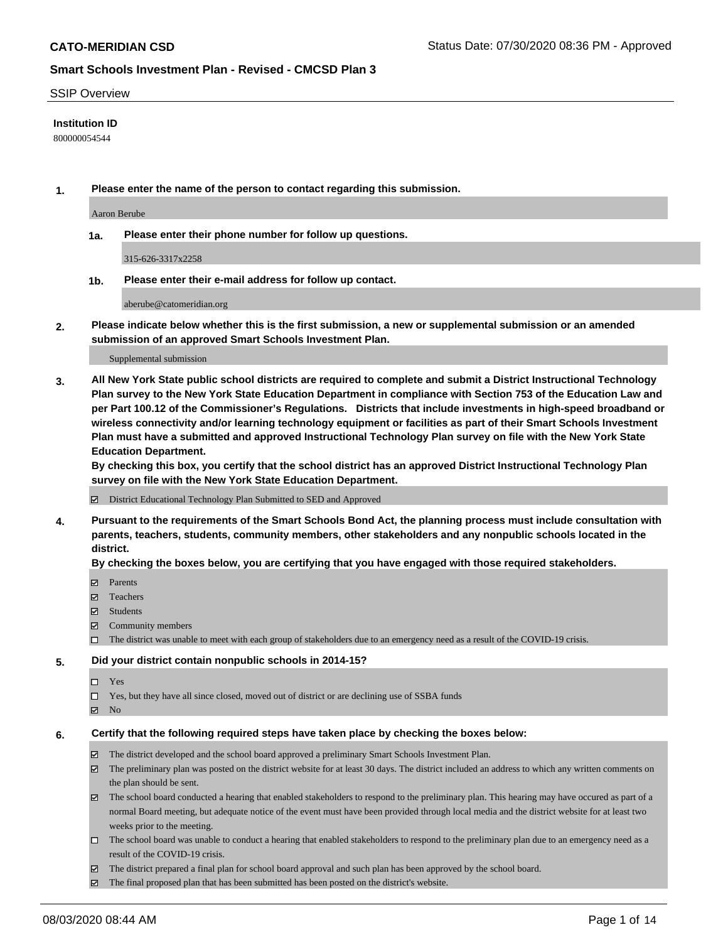### SSIP Overview

### **Institution ID**

800000054544

**1. Please enter the name of the person to contact regarding this submission.**

Aaron Berube

**1a. Please enter their phone number for follow up questions.**

315-626-3317x2258

**1b. Please enter their e-mail address for follow up contact.**

aberube@catomeridian.org

**2. Please indicate below whether this is the first submission, a new or supplemental submission or an amended submission of an approved Smart Schools Investment Plan.**

#### Supplemental submission

**3. All New York State public school districts are required to complete and submit a District Instructional Technology Plan survey to the New York State Education Department in compliance with Section 753 of the Education Law and per Part 100.12 of the Commissioner's Regulations. Districts that include investments in high-speed broadband or wireless connectivity and/or learning technology equipment or facilities as part of their Smart Schools Investment Plan must have a submitted and approved Instructional Technology Plan survey on file with the New York State Education Department.** 

**By checking this box, you certify that the school district has an approved District Instructional Technology Plan survey on file with the New York State Education Department.**

District Educational Technology Plan Submitted to SED and Approved

**4. Pursuant to the requirements of the Smart Schools Bond Act, the planning process must include consultation with parents, teachers, students, community members, other stakeholders and any nonpublic schools located in the district.** 

#### **By checking the boxes below, you are certifying that you have engaged with those required stakeholders.**

- **□** Parents
- Teachers
- Students
- $\boxtimes$  Community members
- The district was unable to meet with each group of stakeholders due to an emergency need as a result of the COVID-19 crisis.

#### **5. Did your district contain nonpublic schools in 2014-15?**

- $\neg$  Yes
- Yes, but they have all since closed, moved out of district or are declining use of SSBA funds
- **Z** No

#### **6. Certify that the following required steps have taken place by checking the boxes below:**

- The district developed and the school board approved a preliminary Smart Schools Investment Plan.
- $\boxtimes$  The preliminary plan was posted on the district website for at least 30 days. The district included an address to which any written comments on the plan should be sent.
- $\boxtimes$  The school board conducted a hearing that enabled stakeholders to respond to the preliminary plan. This hearing may have occured as part of a normal Board meeting, but adequate notice of the event must have been provided through local media and the district website for at least two weeks prior to the meeting.
- The school board was unable to conduct a hearing that enabled stakeholders to respond to the preliminary plan due to an emergency need as a result of the COVID-19 crisis.
- The district prepared a final plan for school board approval and such plan has been approved by the school board.
- $\boxtimes$  The final proposed plan that has been submitted has been posted on the district's website.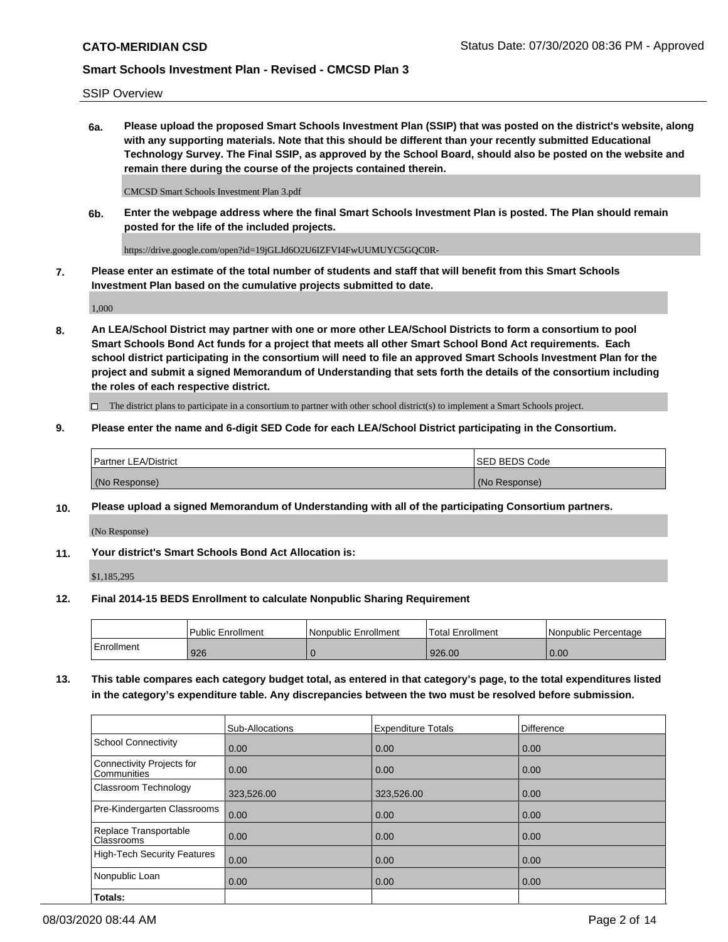SSIP Overview

**6a. Please upload the proposed Smart Schools Investment Plan (SSIP) that was posted on the district's website, along with any supporting materials. Note that this should be different than your recently submitted Educational Technology Survey. The Final SSIP, as approved by the School Board, should also be posted on the website and remain there during the course of the projects contained therein.**

CMCSD Smart Schools Investment Plan 3.pdf

**6b. Enter the webpage address where the final Smart Schools Investment Plan is posted. The Plan should remain posted for the life of the included projects.**

https://drive.google.com/open?id=19jGLJd6O2U6IZFVI4FwUUMUYC5GQC0R-

**7. Please enter an estimate of the total number of students and staff that will benefit from this Smart Schools Investment Plan based on the cumulative projects submitted to date.**

1,000

**8. An LEA/School District may partner with one or more other LEA/School Districts to form a consortium to pool Smart Schools Bond Act funds for a project that meets all other Smart School Bond Act requirements. Each school district participating in the consortium will need to file an approved Smart Schools Investment Plan for the project and submit a signed Memorandum of Understanding that sets forth the details of the consortium including the roles of each respective district.**

 $\Box$  The district plans to participate in a consortium to partner with other school district(s) to implement a Smart Schools project.

## **9. Please enter the name and 6-digit SED Code for each LEA/School District participating in the Consortium.**

| Partner LEA/District | <b>ISED BEDS Code</b> |
|----------------------|-----------------------|
| (No Response)        | (No Response)         |

## **10. Please upload a signed Memorandum of Understanding with all of the participating Consortium partners.**

(No Response)

**11. Your district's Smart Schools Bond Act Allocation is:**

\$1,185,295

#### **12. Final 2014-15 BEDS Enrollment to calculate Nonpublic Sharing Requirement**

|            | Public Enrollment | Nonpublic Enrollment | Total Enrollment | I Nonpublic Percentage |
|------------|-------------------|----------------------|------------------|------------------------|
| Enrollment | 926               |                      | 926.00           | 0.00                   |

**13. This table compares each category budget total, as entered in that category's page, to the total expenditures listed in the category's expenditure table. Any discrepancies between the two must be resolved before submission.**

|                                          | Sub-Allocations | <b>Expenditure Totals</b> | <b>Difference</b> |
|------------------------------------------|-----------------|---------------------------|-------------------|
| <b>School Connectivity</b>               | 0.00            | 0.00                      | 0.00              |
| Connectivity Projects for<br>Communities | 0.00            | 0.00                      | 0.00              |
| Classroom Technology                     | 323,526.00      | 323,526.00                | 0.00              |
| Pre-Kindergarten Classrooms              | 0.00            | 0.00                      | 0.00              |
| Replace Transportable<br>Classrooms      | 0.00            | 0.00                      | 0.00              |
| <b>High-Tech Security Features</b>       | 0.00            | 0.00                      | 0.00              |
| Nonpublic Loan                           | 0.00            | 0.00                      | 0.00              |
| Totals:                                  |                 |                           |                   |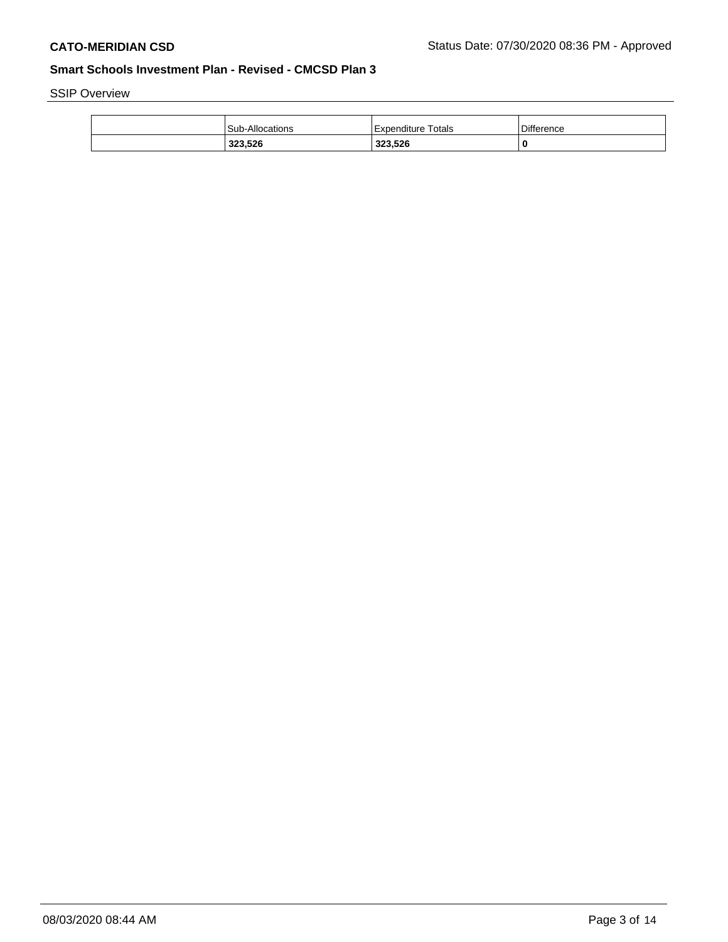SSIP Overview

| 323,526                | 323,526              |                   |
|------------------------|----------------------|-------------------|
| <b>Sub-Allocations</b> | l Expenditure Totals | <b>Difference</b> |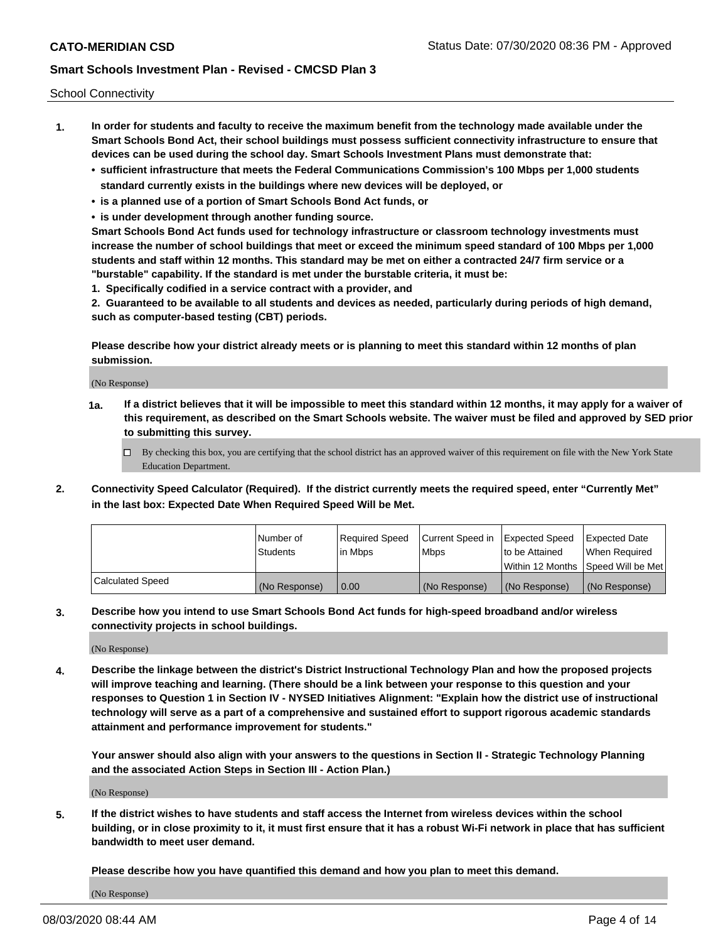School Connectivity

- **1. In order for students and faculty to receive the maximum benefit from the technology made available under the Smart Schools Bond Act, their school buildings must possess sufficient connectivity infrastructure to ensure that devices can be used during the school day. Smart Schools Investment Plans must demonstrate that:**
	- **• sufficient infrastructure that meets the Federal Communications Commission's 100 Mbps per 1,000 students standard currently exists in the buildings where new devices will be deployed, or**
	- **• is a planned use of a portion of Smart Schools Bond Act funds, or**
	- **• is under development through another funding source.**

**Smart Schools Bond Act funds used for technology infrastructure or classroom technology investments must increase the number of school buildings that meet or exceed the minimum speed standard of 100 Mbps per 1,000 students and staff within 12 months. This standard may be met on either a contracted 24/7 firm service or a "burstable" capability. If the standard is met under the burstable criteria, it must be:**

**1. Specifically codified in a service contract with a provider, and**

**2. Guaranteed to be available to all students and devices as needed, particularly during periods of high demand, such as computer-based testing (CBT) periods.**

**Please describe how your district already meets or is planning to meet this standard within 12 months of plan submission.**

(No Response)

**1a. If a district believes that it will be impossible to meet this standard within 12 months, it may apply for a waiver of this requirement, as described on the Smart Schools website. The waiver must be filed and approved by SED prior to submitting this survey.**

 $\Box$  By checking this box, you are certifying that the school district has an approved waiver of this requirement on file with the New York State Education Department.

**2. Connectivity Speed Calculator (Required). If the district currently meets the required speed, enter "Currently Met" in the last box: Expected Date When Required Speed Will be Met.**

|                  | l Number of     | Required Speed | Current Speed in | Expected Speed  | Expected Date                           |
|------------------|-----------------|----------------|------------------|-----------------|-----------------------------------------|
|                  | <b>Students</b> | In Mbps        | l Mbps           | to be Attained  | When Required                           |
|                  |                 |                |                  |                 | l Within 12 Months ISpeed Will be Met l |
| Calculated Speed | (No Response)   | 0.00           | (No Response)    | l (No Response) | l (No Response)                         |

**3. Describe how you intend to use Smart Schools Bond Act funds for high-speed broadband and/or wireless connectivity projects in school buildings.**

(No Response)

**4. Describe the linkage between the district's District Instructional Technology Plan and how the proposed projects will improve teaching and learning. (There should be a link between your response to this question and your responses to Question 1 in Section IV - NYSED Initiatives Alignment: "Explain how the district use of instructional technology will serve as a part of a comprehensive and sustained effort to support rigorous academic standards attainment and performance improvement for students."** 

**Your answer should also align with your answers to the questions in Section II - Strategic Technology Planning and the associated Action Steps in Section III - Action Plan.)**

(No Response)

**5. If the district wishes to have students and staff access the Internet from wireless devices within the school building, or in close proximity to it, it must first ensure that it has a robust Wi-Fi network in place that has sufficient bandwidth to meet user demand.**

**Please describe how you have quantified this demand and how you plan to meet this demand.**

(No Response)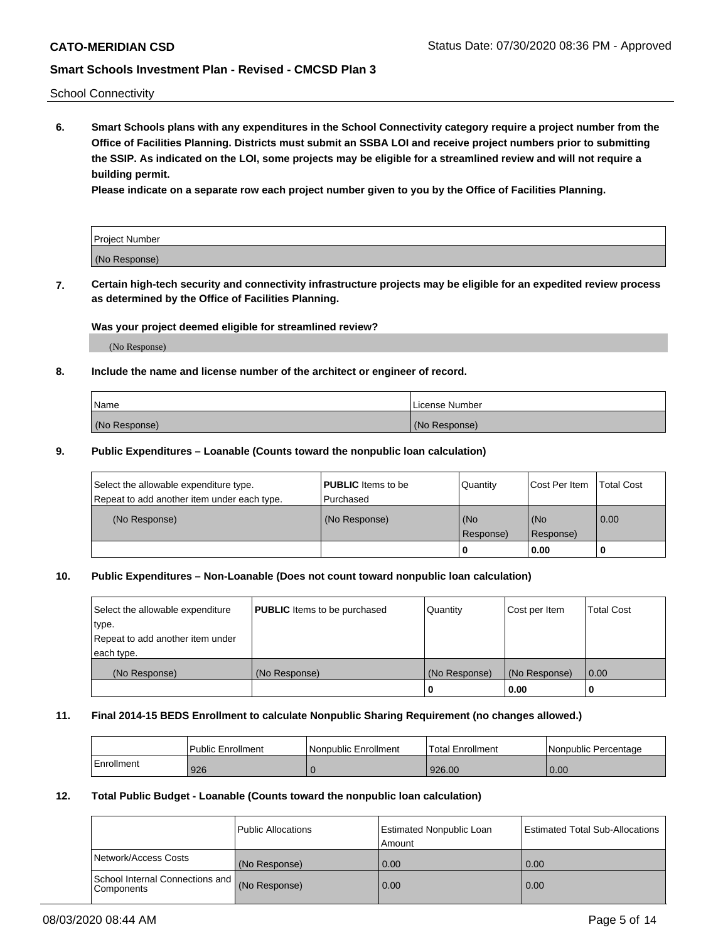School Connectivity

**6. Smart Schools plans with any expenditures in the School Connectivity category require a project number from the Office of Facilities Planning. Districts must submit an SSBA LOI and receive project numbers prior to submitting the SSIP. As indicated on the LOI, some projects may be eligible for a streamlined review and will not require a building permit.**

**Please indicate on a separate row each project number given to you by the Office of Facilities Planning.**

| Project Number |  |
|----------------|--|
| (No Response)  |  |

**7. Certain high-tech security and connectivity infrastructure projects may be eligible for an expedited review process as determined by the Office of Facilities Planning.**

## **Was your project deemed eligible for streamlined review?**

(No Response)

## **8. Include the name and license number of the architect or engineer of record.**

| Name          | License Number |
|---------------|----------------|
| (No Response) | (No Response)  |

### **9. Public Expenditures – Loanable (Counts toward the nonpublic loan calculation)**

| Select the allowable expenditure type.<br>Repeat to add another item under each type. | <b>PUBLIC</b> Items to be<br>l Purchased | Quantity           | Cost Per Item    | <b>Total Cost</b> |
|---------------------------------------------------------------------------------------|------------------------------------------|--------------------|------------------|-------------------|
| (No Response)                                                                         | (No Response)                            | l (No<br>Response) | (No<br>Response) | $\overline{0.00}$ |
|                                                                                       |                                          | O                  | 0.00             |                   |

## **10. Public Expenditures – Non-Loanable (Does not count toward nonpublic loan calculation)**

| Select the allowable expenditure<br>type.<br>Repeat to add another item under<br>each type. | <b>PUBLIC</b> Items to be purchased | Quantity      | Cost per Item | <b>Total Cost</b> |
|---------------------------------------------------------------------------------------------|-------------------------------------|---------------|---------------|-------------------|
| (No Response)                                                                               | (No Response)                       | (No Response) | (No Response) | 0.00              |
|                                                                                             |                                     |               | 0.00          |                   |

#### **11. Final 2014-15 BEDS Enrollment to calculate Nonpublic Sharing Requirement (no changes allowed.)**

|            | Public Enrollment | Nonpublic Enrollment | Total Enrollment | l Nonpublic Percentage |
|------------|-------------------|----------------------|------------------|------------------------|
| Enrollment | 926               |                      | 926.00           | 0.00                   |

## **12. Total Public Budget - Loanable (Counts toward the nonpublic loan calculation)**

|                                                      | Public Allocations | <b>Estimated Nonpublic Loan</b><br>Amount | Estimated Total Sub-Allocations |
|------------------------------------------------------|--------------------|-------------------------------------------|---------------------------------|
| Network/Access Costs                                 | (No Response)      | 0.00                                      | 0.00                            |
| School Internal Connections and<br><b>Components</b> | (No Response)      | 0.00                                      | 0.00                            |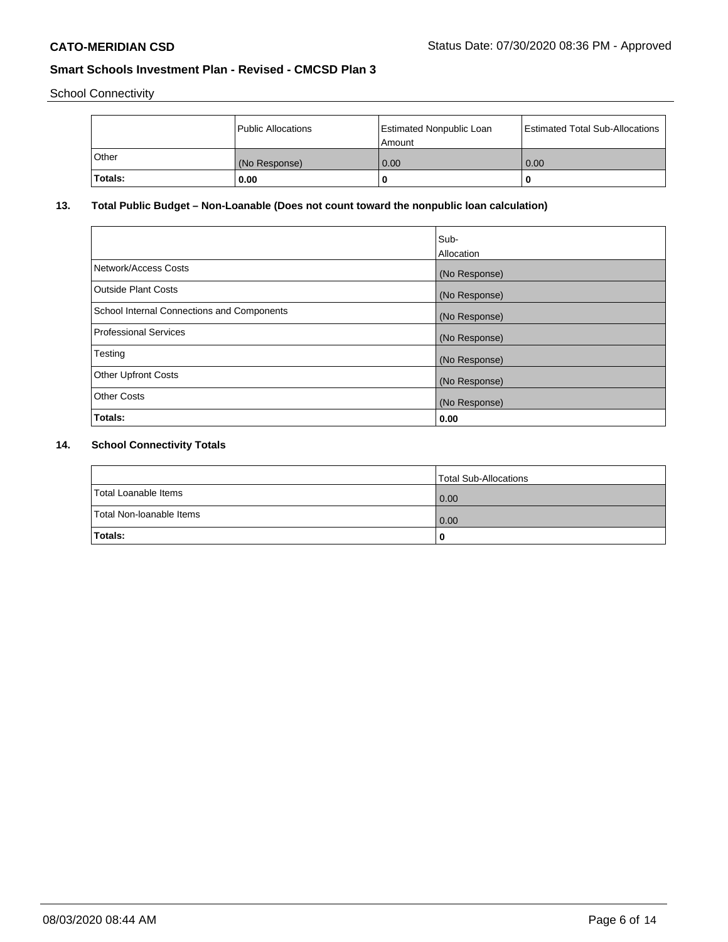School Connectivity

|         | Public Allocations | <b>Estimated Nonpublic Loan</b><br>l Amount | <b>Estimated Total Sub-Allocations</b> |
|---------|--------------------|---------------------------------------------|----------------------------------------|
| l Other | (No Response)      | 0.00                                        | 0.00                                   |
| Totals: | 0.00               | 0                                           |                                        |

# **13. Total Public Budget – Non-Loanable (Does not count toward the nonpublic loan calculation)**

|                                                   | Sub-<br>Allocation |
|---------------------------------------------------|--------------------|
| Network/Access Costs                              | (No Response)      |
| <b>Outside Plant Costs</b>                        | (No Response)      |
| <b>School Internal Connections and Components</b> | (No Response)      |
| <b>Professional Services</b>                      | (No Response)      |
| Testing                                           | (No Response)      |
| <b>Other Upfront Costs</b>                        | (No Response)      |
| <b>Other Costs</b>                                | (No Response)      |
| Totals:                                           | 0.00               |

# **14. School Connectivity Totals**

|                          | Total Sub-Allocations |
|--------------------------|-----------------------|
| Total Loanable Items     | 0.00                  |
| Total Non-Ioanable Items | 0.00                  |
| Totals:                  | 0                     |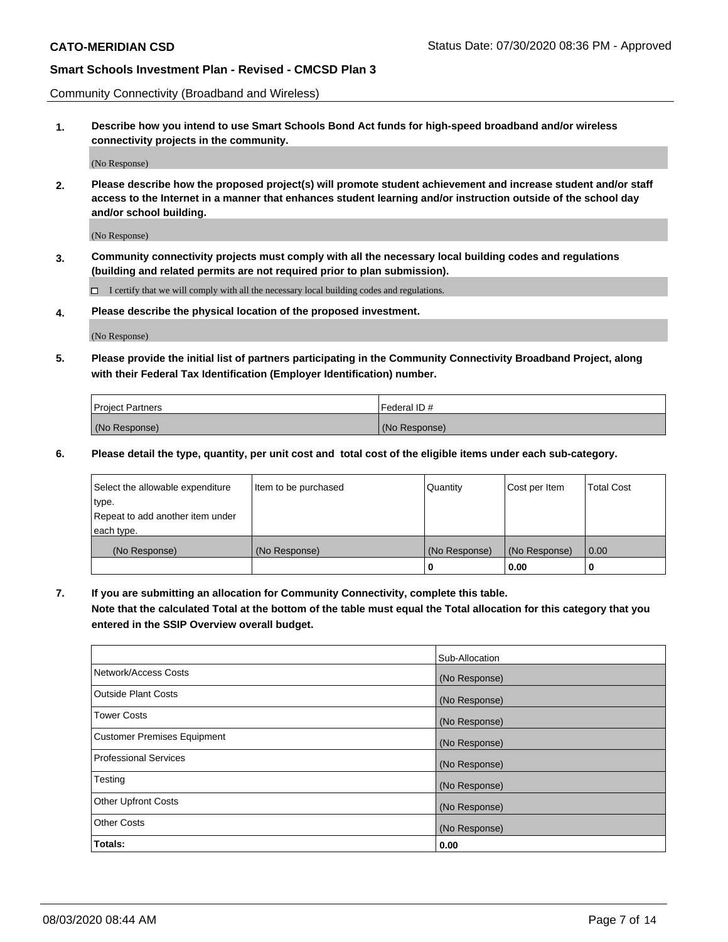Community Connectivity (Broadband and Wireless)

**1. Describe how you intend to use Smart Schools Bond Act funds for high-speed broadband and/or wireless connectivity projects in the community.**

(No Response)

**2. Please describe how the proposed project(s) will promote student achievement and increase student and/or staff access to the Internet in a manner that enhances student learning and/or instruction outside of the school day and/or school building.**

(No Response)

**3. Community connectivity projects must comply with all the necessary local building codes and regulations (building and related permits are not required prior to plan submission).**

 $\Box$  I certify that we will comply with all the necessary local building codes and regulations.

**4. Please describe the physical location of the proposed investment.**

(No Response)

**5. Please provide the initial list of partners participating in the Community Connectivity Broadband Project, along with their Federal Tax Identification (Employer Identification) number.**

| <b>Project Partners</b> | l Federal ID # |
|-------------------------|----------------|
| (No Response)           | (No Response)  |

**6. Please detail the type, quantity, per unit cost and total cost of the eligible items under each sub-category.**

| Select the allowable expenditure | Item to be purchased | Quantity      | Cost per Item | <b>Total Cost</b> |
|----------------------------------|----------------------|---------------|---------------|-------------------|
| type.                            |                      |               |               |                   |
| Repeat to add another item under |                      |               |               |                   |
| each type.                       |                      |               |               |                   |
| (No Response)                    | (No Response)        | (No Response) | (No Response) | 0.00              |
|                                  |                      | o             | 0.00          |                   |

**7. If you are submitting an allocation for Community Connectivity, complete this table.**

**Note that the calculated Total at the bottom of the table must equal the Total allocation for this category that you entered in the SSIP Overview overall budget.**

|                                    | Sub-Allocation |
|------------------------------------|----------------|
| Network/Access Costs               | (No Response)  |
| Outside Plant Costs                | (No Response)  |
| <b>Tower Costs</b>                 | (No Response)  |
| <b>Customer Premises Equipment</b> | (No Response)  |
| <b>Professional Services</b>       | (No Response)  |
| Testing                            | (No Response)  |
| <b>Other Upfront Costs</b>         | (No Response)  |
| <b>Other Costs</b>                 | (No Response)  |
| Totals:                            | 0.00           |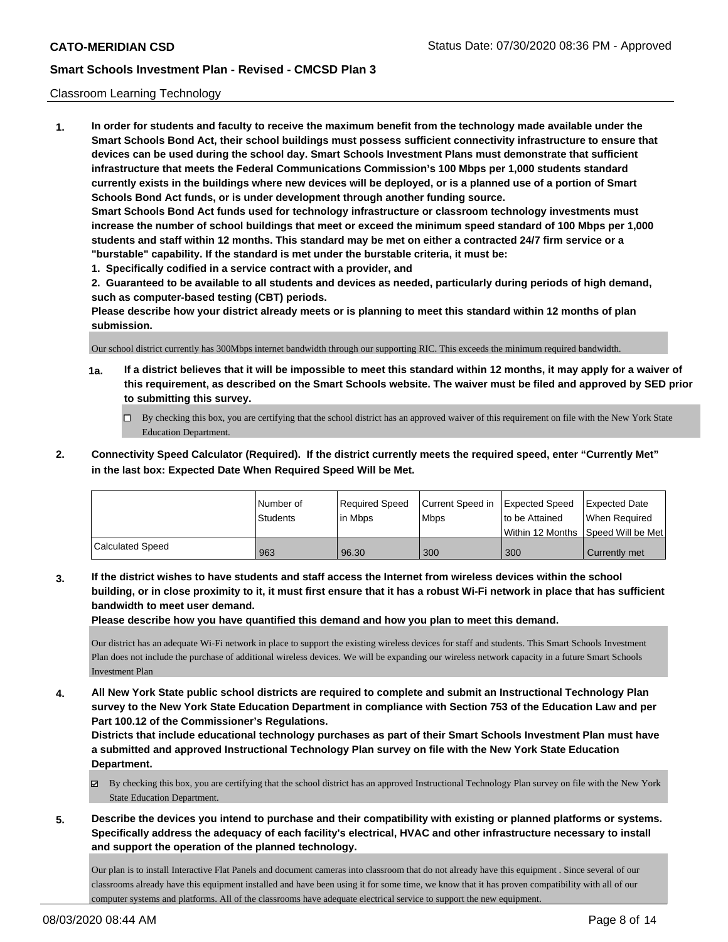### Classroom Learning Technology

**1. In order for students and faculty to receive the maximum benefit from the technology made available under the Smart Schools Bond Act, their school buildings must possess sufficient connectivity infrastructure to ensure that devices can be used during the school day. Smart Schools Investment Plans must demonstrate that sufficient infrastructure that meets the Federal Communications Commission's 100 Mbps per 1,000 students standard currently exists in the buildings where new devices will be deployed, or is a planned use of a portion of Smart Schools Bond Act funds, or is under development through another funding source. Smart Schools Bond Act funds used for technology infrastructure or classroom technology investments must increase the number of school buildings that meet or exceed the minimum speed standard of 100 Mbps per 1,000 students and staff within 12 months. This standard may be met on either a contracted 24/7 firm service or a "burstable" capability. If the standard is met under the burstable criteria, it must be:**

**1. Specifically codified in a service contract with a provider, and**

**2. Guaranteed to be available to all students and devices as needed, particularly during periods of high demand, such as computer-based testing (CBT) periods.**

**Please describe how your district already meets or is planning to meet this standard within 12 months of plan submission.**

Our school district currently has 300Mbps internet bandwidth through our supporting RIC. This exceeds the minimum required bandwidth.

- **1a. If a district believes that it will be impossible to meet this standard within 12 months, it may apply for a waiver of this requirement, as described on the Smart Schools website. The waiver must be filed and approved by SED prior to submitting this survey.**
	- By checking this box, you are certifying that the school district has an approved waiver of this requirement on file with the New York State Education Department.
- **2. Connectivity Speed Calculator (Required). If the district currently meets the required speed, enter "Currently Met" in the last box: Expected Date When Required Speed Will be Met.**

|                  | l Number of     | Required Speed | Current Speed in | <b>Expected Speed</b> | Expected Date                           |
|------------------|-----------------|----------------|------------------|-----------------------|-----------------------------------------|
|                  | <b>Students</b> | In Mbps        | <b>Mbps</b>      | to be Attained        | When Required                           |
|                  |                 |                |                  |                       | l Within 12 Months ISpeed Will be Met l |
| Calculated Speed | 963             | 96.30          | 300              | 300                   | Currently met                           |

**3. If the district wishes to have students and staff access the Internet from wireless devices within the school building, or in close proximity to it, it must first ensure that it has a robust Wi-Fi network in place that has sufficient bandwidth to meet user demand.**

**Please describe how you have quantified this demand and how you plan to meet this demand.**

Our district has an adequate Wi-Fi network in place to support the existing wireless devices for staff and students. This Smart Schools Investment Plan does not include the purchase of additional wireless devices. We will be expanding our wireless network capacity in a future Smart Schools Investment Plan

**4. All New York State public school districts are required to complete and submit an Instructional Technology Plan survey to the New York State Education Department in compliance with Section 753 of the Education Law and per Part 100.12 of the Commissioner's Regulations.**

**Districts that include educational technology purchases as part of their Smart Schools Investment Plan must have a submitted and approved Instructional Technology Plan survey on file with the New York State Education Department.**

- By checking this box, you are certifying that the school district has an approved Instructional Technology Plan survey on file with the New York State Education Department.
- **5. Describe the devices you intend to purchase and their compatibility with existing or planned platforms or systems. Specifically address the adequacy of each facility's electrical, HVAC and other infrastructure necessary to install and support the operation of the planned technology.**

Our plan is to install Interactive Flat Panels and document cameras into classroom that do not already have this equipment . Since several of our classrooms already have this equipment installed and have been using it for some time, we know that it has proven compatibility with all of our computer systems and platforms. All of the classrooms have adequate electrical service to support the new equipment.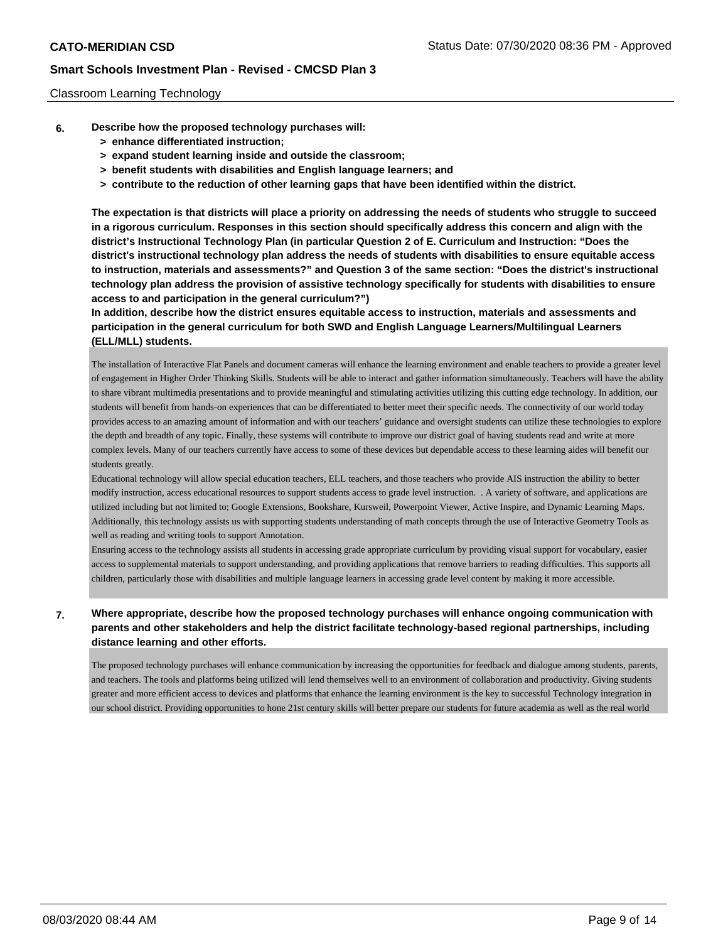### Classroom Learning Technology

- **6. Describe how the proposed technology purchases will:**
	- **> enhance differentiated instruction;**
	- **> expand student learning inside and outside the classroom;**
	- **> benefit students with disabilities and English language learners; and**
	- **> contribute to the reduction of other learning gaps that have been identified within the district.**

**The expectation is that districts will place a priority on addressing the needs of students who struggle to succeed in a rigorous curriculum. Responses in this section should specifically address this concern and align with the district's Instructional Technology Plan (in particular Question 2 of E. Curriculum and Instruction: "Does the district's instructional technology plan address the needs of students with disabilities to ensure equitable access to instruction, materials and assessments?" and Question 3 of the same section: "Does the district's instructional technology plan address the provision of assistive technology specifically for students with disabilities to ensure access to and participation in the general curriculum?")**

**In addition, describe how the district ensures equitable access to instruction, materials and assessments and participation in the general curriculum for both SWD and English Language Learners/Multilingual Learners (ELL/MLL) students.**

The installation of Interactive Flat Panels and document cameras will enhance the learning environment and enable teachers to provide a greater level of engagement in Higher Order Thinking Skills. Students will be able to interact and gather information simultaneously. Teachers will have the ability to share vibrant multimedia presentations and to provide meaningful and stimulating activities utilizing this cutting edge technology. In addition, our students will benefit from hands-on experiences that can be differentiated to better meet their specific needs. The connectivity of our world today provides access to an amazing amount of information and with our teachers' guidance and oversight students can utilize these technologies to explore the depth and breadth of any topic. Finally, these systems will contribute to improve our district goal of having students read and write at more complex levels. Many of our teachers currently have access to some of these devices but dependable access to these learning aides will benefit our students greatly.

Educational technology will allow special education teachers, ELL teachers, and those teachers who provide AIS instruction the ability to better modify instruction, access educational resources to support students access to grade level instruction. . A variety of software, and applications are utilized including but not limited to; Google Extensions, Bookshare, Kursweil, Powerpoint Viewer, Active Inspire, and Dynamic Learning Maps. Additionally, this technology assists us with supporting students understanding of math concepts through the use of Interactive Geometry Tools as well as reading and writing tools to support Annotation.

Ensuring access to the technology assists all students in accessing grade appropriate curriculum by providing visual support for vocabulary, easier access to supplemental materials to support understanding, and providing applications that remove barriers to reading difficulties. This supports all children, particularly those with disabilities and multiple language learners in accessing grade level content by making it more accessible.

# **7. Where appropriate, describe how the proposed technology purchases will enhance ongoing communication with parents and other stakeholders and help the district facilitate technology-based regional partnerships, including distance learning and other efforts.**

The proposed technology purchases will enhance communication by increasing the opportunities for feedback and dialogue among students, parents, and teachers. The tools and platforms being utilized will lend themselves well to an environment of collaboration and productivity. Giving students greater and more efficient access to devices and platforms that enhance the learning environment is the key to successful Technology integration in our school district. Providing opportunities to hone 21st century skills will better prepare our students for future academia as well as the real world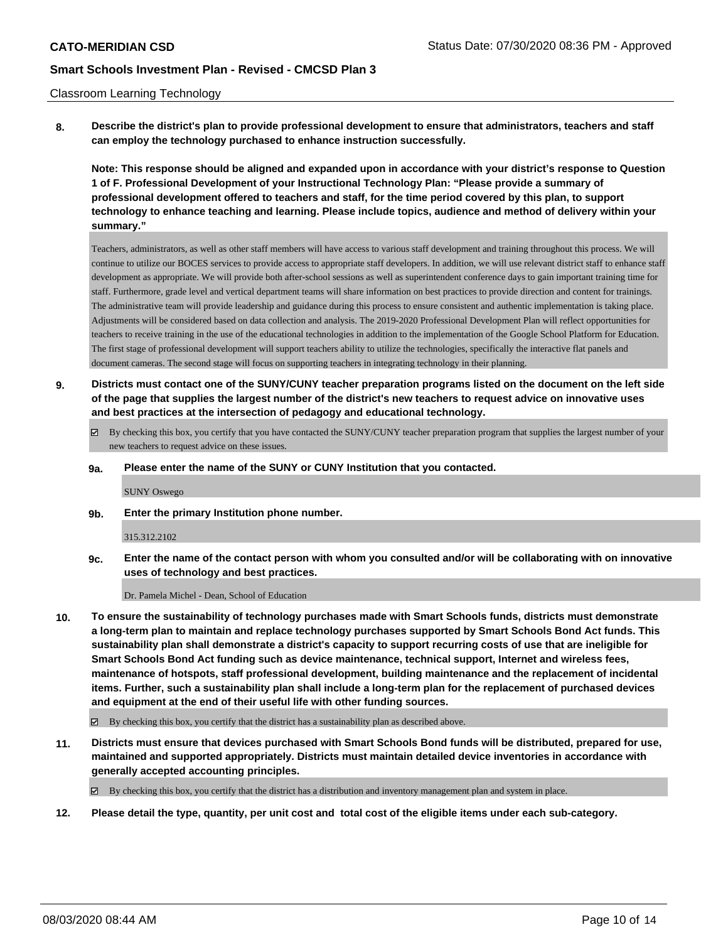### Classroom Learning Technology

**8. Describe the district's plan to provide professional development to ensure that administrators, teachers and staff can employ the technology purchased to enhance instruction successfully.**

**Note: This response should be aligned and expanded upon in accordance with your district's response to Question 1 of F. Professional Development of your Instructional Technology Plan: "Please provide a summary of professional development offered to teachers and staff, for the time period covered by this plan, to support technology to enhance teaching and learning. Please include topics, audience and method of delivery within your summary."**

Teachers, administrators, as well as other staff members will have access to various staff development and training throughout this process. We will continue to utilize our BOCES services to provide access to appropriate staff developers. In addition, we will use relevant district staff to enhance staff development as appropriate. We will provide both after-school sessions as well as superintendent conference days to gain important training time for staff. Furthermore, grade level and vertical department teams will share information on best practices to provide direction and content for trainings. The administrative team will provide leadership and guidance during this process to ensure consistent and authentic implementation is taking place. Adjustments will be considered based on data collection and analysis. The 2019-2020 Professional Development Plan will reflect opportunities for teachers to receive training in the use of the educational technologies in addition to the implementation of the Google School Platform for Education. The first stage of professional development will support teachers ability to utilize the technologies, specifically the interactive flat panels and document cameras. The second stage will focus on supporting teachers in integrating technology in their planning.

- **9. Districts must contact one of the SUNY/CUNY teacher preparation programs listed on the document on the left side of the page that supplies the largest number of the district's new teachers to request advice on innovative uses and best practices at the intersection of pedagogy and educational technology.**
	- By checking this box, you certify that you have contacted the SUNY/CUNY teacher preparation program that supplies the largest number of your new teachers to request advice on these issues.

#### **9a. Please enter the name of the SUNY or CUNY Institution that you contacted.**

SUNY Oswego

**9b. Enter the primary Institution phone number.**

#### 315.312.2102

**9c. Enter the name of the contact person with whom you consulted and/or will be collaborating with on innovative uses of technology and best practices.**

Dr. Pamela Michel - Dean, School of Education

- **10. To ensure the sustainability of technology purchases made with Smart Schools funds, districts must demonstrate a long-term plan to maintain and replace technology purchases supported by Smart Schools Bond Act funds. This sustainability plan shall demonstrate a district's capacity to support recurring costs of use that are ineligible for Smart Schools Bond Act funding such as device maintenance, technical support, Internet and wireless fees, maintenance of hotspots, staff professional development, building maintenance and the replacement of incidental items. Further, such a sustainability plan shall include a long-term plan for the replacement of purchased devices and equipment at the end of their useful life with other funding sources.**
	- $\boxtimes$  By checking this box, you certify that the district has a sustainability plan as described above.
- **11. Districts must ensure that devices purchased with Smart Schools Bond funds will be distributed, prepared for use, maintained and supported appropriately. Districts must maintain detailed device inventories in accordance with generally accepted accounting principles.**

By checking this box, you certify that the district has a distribution and inventory management plan and system in place.

**12. Please detail the type, quantity, per unit cost and total cost of the eligible items under each sub-category.**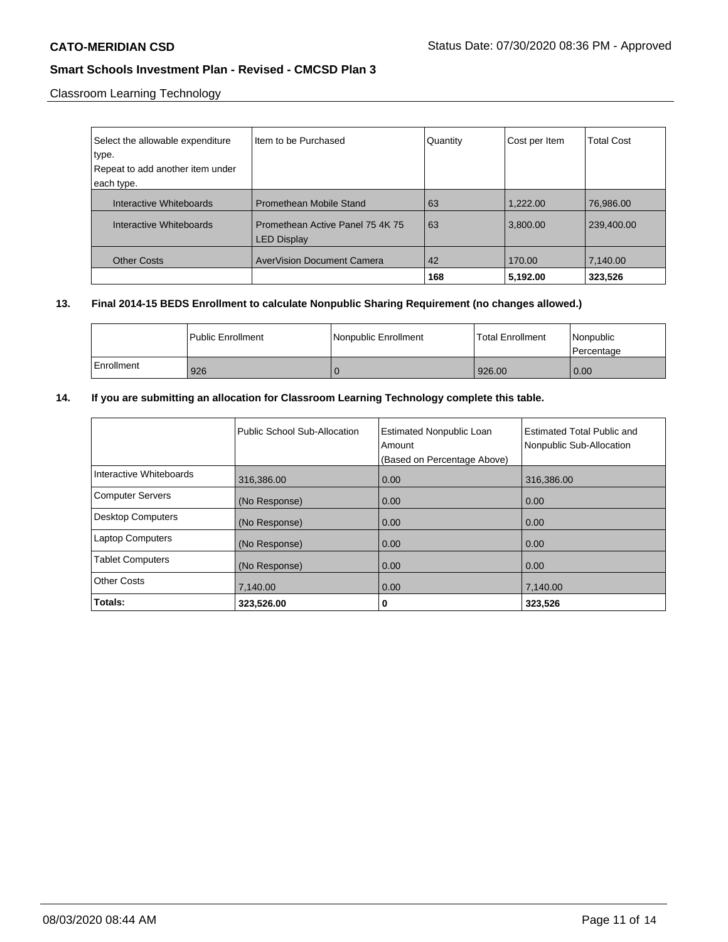Classroom Learning Technology

| Select the allowable expenditure | Item to be Purchased                                   | Quantity | Cost per Item | <b>Total Cost</b> |
|----------------------------------|--------------------------------------------------------|----------|---------------|-------------------|
| type.                            |                                                        |          |               |                   |
| Repeat to add another item under |                                                        |          |               |                   |
| each type.                       |                                                        |          |               |                   |
| Interactive Whiteboards          | <b>Promethean Mobile Stand</b>                         | 63       | 1.222.00      | 76.986.00         |
| Interactive Whiteboards          | Promethean Active Panel 75 4K 75<br><b>LED Display</b> | 63       | 3,800.00      | 239,400.00        |
| <b>Other Costs</b>               | AverVision Document Camera                             | 42       | 170.00        | 7,140.00          |
|                                  |                                                        | 168      | 5,192.00      | 323,526           |

# **13. Final 2014-15 BEDS Enrollment to calculate Nonpublic Sharing Requirement (no changes allowed.)**

|            | l Public Enrollment | Nonpublic Enrollment | <b>Total Enrollment</b> | Nonpublic<br>l Percentage |
|------------|---------------------|----------------------|-------------------------|---------------------------|
| Enrollment | 926                 |                      | 926.00                  | 0.00                      |

# **14. If you are submitting an allocation for Classroom Learning Technology complete this table.**

|                          | Public School Sub-Allocation | <b>Estimated Nonpublic Loan</b><br>Amount<br>(Based on Percentage Above) | <b>Estimated Total Public and</b><br>Nonpublic Sub-Allocation |
|--------------------------|------------------------------|--------------------------------------------------------------------------|---------------------------------------------------------------|
| Interactive Whiteboards  | 316,386.00                   | 0.00                                                                     | 316,386.00                                                    |
| <b>Computer Servers</b>  | (No Response)                | 0.00                                                                     | 0.00                                                          |
| <b>Desktop Computers</b> | (No Response)                | 0.00                                                                     | 0.00                                                          |
| <b>Laptop Computers</b>  | (No Response)                | 0.00                                                                     | 0.00                                                          |
| <b>Tablet Computers</b>  | (No Response)                | 0.00                                                                     | 0.00                                                          |
| <b>Other Costs</b>       | 7,140.00                     | 0.00                                                                     | 7,140.00                                                      |
| Totals:                  | 323,526.00                   | 0                                                                        | 323,526                                                       |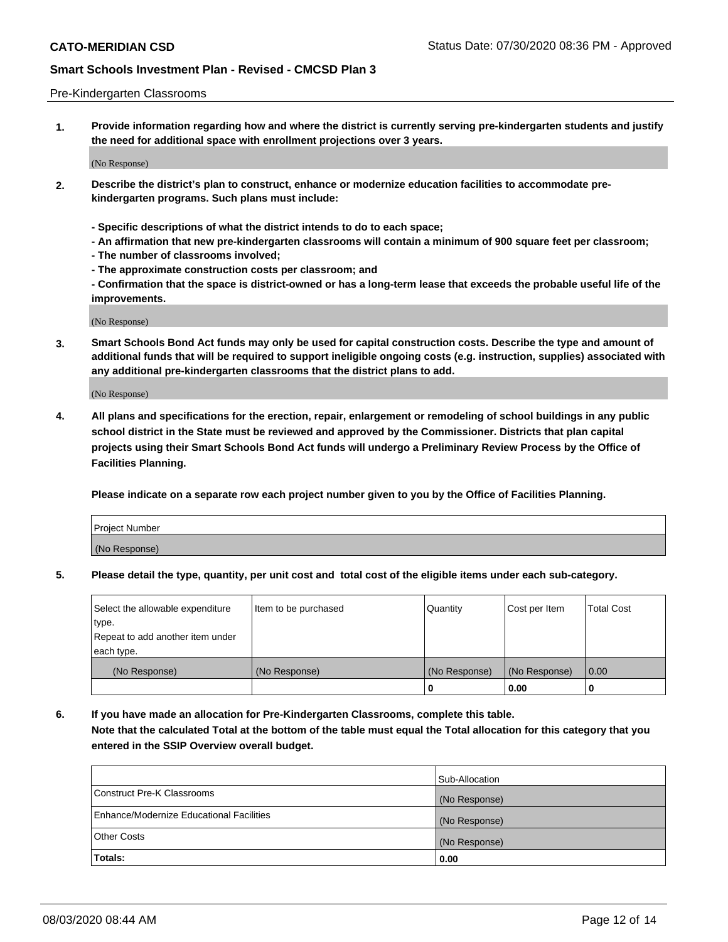### Pre-Kindergarten Classrooms

**1. Provide information regarding how and where the district is currently serving pre-kindergarten students and justify the need for additional space with enrollment projections over 3 years.**

(No Response)

- **2. Describe the district's plan to construct, enhance or modernize education facilities to accommodate prekindergarten programs. Such plans must include:**
	- **Specific descriptions of what the district intends to do to each space;**
	- **An affirmation that new pre-kindergarten classrooms will contain a minimum of 900 square feet per classroom;**
	- **The number of classrooms involved;**
	- **The approximate construction costs per classroom; and**
	- **Confirmation that the space is district-owned or has a long-term lease that exceeds the probable useful life of the improvements.**

(No Response)

**3. Smart Schools Bond Act funds may only be used for capital construction costs. Describe the type and amount of additional funds that will be required to support ineligible ongoing costs (e.g. instruction, supplies) associated with any additional pre-kindergarten classrooms that the district plans to add.**

(No Response)

**4. All plans and specifications for the erection, repair, enlargement or remodeling of school buildings in any public school district in the State must be reviewed and approved by the Commissioner. Districts that plan capital projects using their Smart Schools Bond Act funds will undergo a Preliminary Review Process by the Office of Facilities Planning.**

**Please indicate on a separate row each project number given to you by the Office of Facilities Planning.**

| Project Number |  |
|----------------|--|
| (No Response)  |  |
|                |  |

**5. Please detail the type, quantity, per unit cost and total cost of the eligible items under each sub-category.**

| Select the allowable expenditure | Item to be purchased | Quantity      | Cost per Item | <b>Total Cost</b> |
|----------------------------------|----------------------|---------------|---------------|-------------------|
| type.                            |                      |               |               |                   |
| Repeat to add another item under |                      |               |               |                   |
| each type.                       |                      |               |               |                   |
| (No Response)                    | (No Response)        | (No Response) | (No Response) | 0.00              |
|                                  |                      | υ             | 0.00          |                   |

**6. If you have made an allocation for Pre-Kindergarten Classrooms, complete this table. Note that the calculated Total at the bottom of the table must equal the Total allocation for this category that you entered in the SSIP Overview overall budget.**

| Totals:                                  | 0.00           |
|------------------------------------------|----------------|
| <b>Other Costs</b>                       | (No Response)  |
| Enhance/Modernize Educational Facilities | (No Response)  |
| Construct Pre-K Classrooms               | (No Response)  |
|                                          | Sub-Allocation |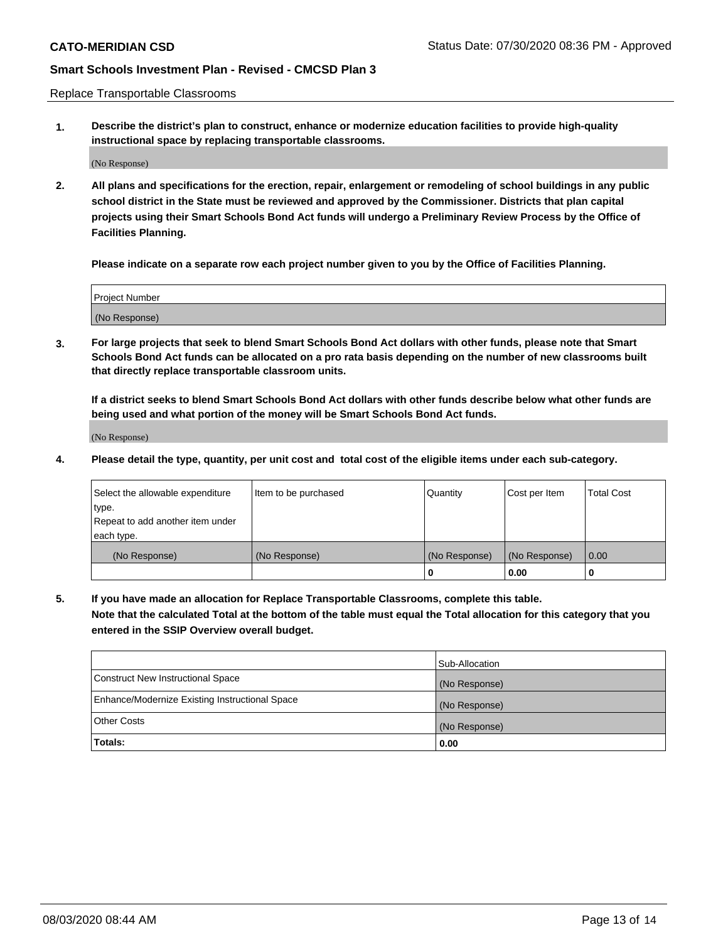Replace Transportable Classrooms

**1. Describe the district's plan to construct, enhance or modernize education facilities to provide high-quality instructional space by replacing transportable classrooms.**

(No Response)

**2. All plans and specifications for the erection, repair, enlargement or remodeling of school buildings in any public school district in the State must be reviewed and approved by the Commissioner. Districts that plan capital projects using their Smart Schools Bond Act funds will undergo a Preliminary Review Process by the Office of Facilities Planning.**

**Please indicate on a separate row each project number given to you by the Office of Facilities Planning.**

| Project Number |  |
|----------------|--|
|                |  |
|                |  |
|                |  |
|                |  |
| (No Response)  |  |
|                |  |
|                |  |
|                |  |

**3. For large projects that seek to blend Smart Schools Bond Act dollars with other funds, please note that Smart Schools Bond Act funds can be allocated on a pro rata basis depending on the number of new classrooms built that directly replace transportable classroom units.**

**If a district seeks to blend Smart Schools Bond Act dollars with other funds describe below what other funds are being used and what portion of the money will be Smart Schools Bond Act funds.**

(No Response)

**4. Please detail the type, quantity, per unit cost and total cost of the eligible items under each sub-category.**

| Select the allowable expenditure | Item to be purchased | Quantity      | Cost per Item | Total Cost |
|----------------------------------|----------------------|---------------|---------------|------------|
| ∣type.                           |                      |               |               |            |
| Repeat to add another item under |                      |               |               |            |
| each type.                       |                      |               |               |            |
| (No Response)                    | (No Response)        | (No Response) | (No Response) | 0.00       |
|                                  |                      | u             | 0.00          |            |

**5. If you have made an allocation for Replace Transportable Classrooms, complete this table. Note that the calculated Total at the bottom of the table must equal the Total allocation for this category that you entered in the SSIP Overview overall budget.**

|                                                | Sub-Allocation |
|------------------------------------------------|----------------|
| Construct New Instructional Space              | (No Response)  |
| Enhance/Modernize Existing Instructional Space | (No Response)  |
| Other Costs                                    | (No Response)  |
| Totals:                                        | 0.00           |